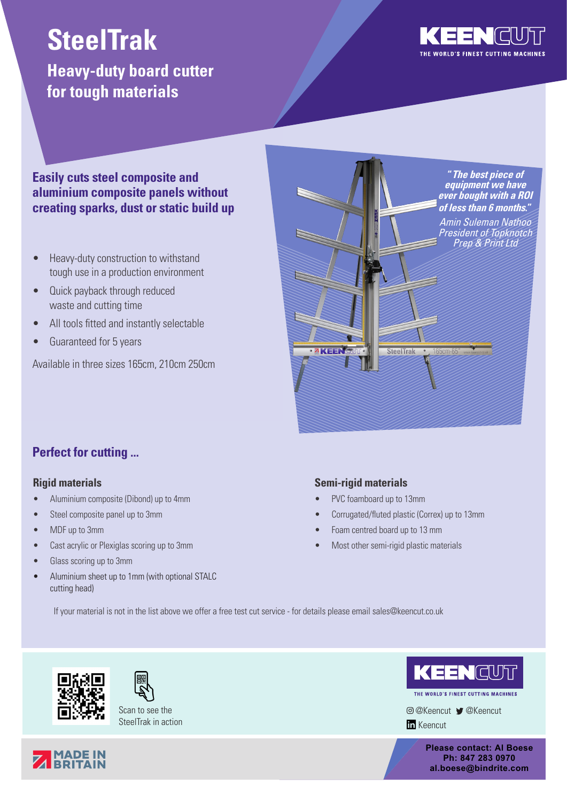# **SteelTrak**

# **Heavy-duty board cutter for tough materials**



#### **Easily cuts steel composite and aluminium composite panels without creating sparks, dust or static build up**

- Heavy-duty construction to withstand tough use in a production environment
- Quick payback through reduced waste and cutting time
- All tools fitted and instantly selectable
- Guaranteed for 5 years

Available in three sizes 165cm, 210cm 250cm



## **Perfect for cutting ...**

#### **Rigid materials**

- Aluminium composite (Dibond) up to 4mm
- Steel composite panel up to 3mm
- MDF up to 3mm
- Cast acrylic or Plexiglas scoring up to 3mm
- Glass scoring up to 3mm
- Aluminium sheet up to 1mm (with optional STALC cutting head)

#### **Semi-rigid materials**

- PVC foamboard up to 13mm
- Corrugated/fluted plastic (Correx) up to 13mm
- Foam centred board up to 13 mm
- Most other semi-rigid plastic materials

If your material is not in the list above we offer a free test cut service - for details please email sales@keencut.co.uk





Scan to see the SteelTrak in action



THE WORLD'S FINEST CUTTING MACHINE

@Keencut @Keencut **In** Keencut

> **Please contact: Al Boese Ph: 847 283 0970 al.boese@bindrite.com**